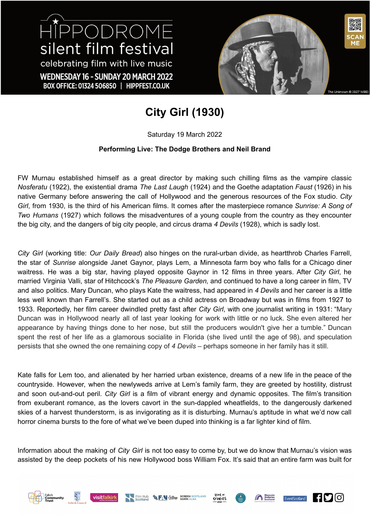## HIPPODROME silent film festival celebrating film with live music WEDNESDAY 16 - SUNDAY 20 MARCH 2022 BOX OFFICE: 01324 506850 | HIPPFEST.CO.UK



## **City Girl (1930)**

Saturday 19 March 2022

## **Performing Live: The Dodge Brothers and Neil Brand**

FW Murnau established himself as a great director by making such chilling films as the vampire classic *Nosferatu* (1922), the existential drama *The Last Laugh* (1924) and the Goethe adaptation *Faust* (1926) in his native Germany before answering the call of Hollywood and the generous resources of the Fox studio. *City Girl*, from 1930, is the third of his American films. It comes after the masterpiece romance *Sunrise: A Song of Two Humans* (1927) which follows the misadventures of a young couple from the country as they encounter the big city, and the dangers of big city people, and circus drama *4 Devils* (1928), which is sadly lost.

*City Girl* (working title: *Our Daily Bread*) also hinges on the rural-urban divide, as heartthrob Charles Farrell, the star of *Sunrise* alongside Janet Gaynor, plays Lem, a Minnesota farm boy who falls for a Chicago diner waitress. He was a big star, having played opposite Gaynor in 12 films in three years. After *City Girl*, he married Virginia Valli, star of Hitchcock's *The Pleasure Garden,* and continued to have a long career in film, TV and also politics. Mary Duncan, who plays Kate the waitress, had appeared in *4 Devils* and her career is a little less well known than Farrell's. She started out as a child actress on Broadway but was in films from 1927 to 1933. Reportedly, her film career dwindled pretty fast after *City Girl*, with one journalist writing in 1931: "Mary Duncan was in Hollywood nearly all of last year looking for work with little or no luck. She even altered her appearance by having things done to her nose, but still the producers wouldn't give her a tumble." Duncan spent the rest of her life as a glamorous socialite in Florida (she lived until the age of 98), and speculation persists that she owned the one remaining copy of *4 Devils* – perhaps someone in her family has it still.

Kate falls for Lem too, and alienated by her harried urban existence, dreams of a new life in the peace of the countryside. However, when the newlyweds arrive at Lem's family farm, they are greeted by hostility, distrust and soon out-and-out peril. *City Girl* is a film of vibrant energy and dynamic opposites. The film's transition from exuberant romance, as the lovers cavort in the sun-dappled wheatfields, to the dangerously darkened skies of a harvest thunderstorm, is as invigorating as it is disturbing. Murnau's aptitude in what we'd now call horror cinema bursts to the fore of what we've been duped into thinking is a far lighter kind of film.

Information about the making of *City Girl* is not too easy to come by, but we do know that Murnau's vision was assisted by the deep pockets of his new Hollywood boss William Fox. It's said that an entire farm was built for









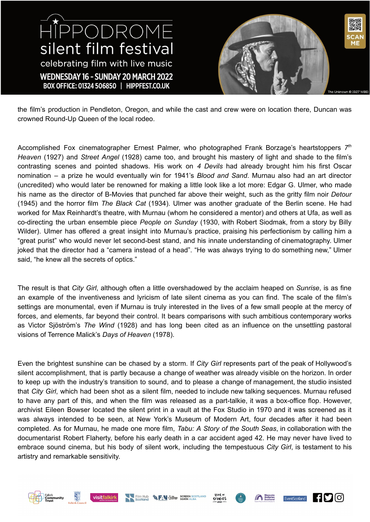HIPPODROME silent film festival celebrating film with live music WEDNESDAY 16 - SUNDAY 20 MARCH 2022 BOX OFFICE: 01324 506850 | HIPPFEST.CO.UK



the film's production in Pendleton, Oregon, and while the cast and crew were on location there, Duncan was crowned Round-Up Queen of the local rodeo.

Accomplished Fox cinematographer Ernest Palmer, who photographed Frank Borzage's heartstoppers *7 th Heaven* (1927) and *Street Angel* (1928) came too, and brought his mastery of light and shade to the film's contrasting scenes and pointed shadows. His work on *4 Devils* had already brought him his first Oscar nomination – a prize he would eventually win for 1941's *Blood and Sand*. Murnau also had an art director (uncredited) who would later be renowned for making a little look like a lot more: Edgar G. Ulmer, who made his name as the director of B-Movies that punched far above their weight, such as the gritty film noir *Detour* (1945) and the horror film *The Black Cat* (1934). Ulmer was another graduate of the Berlin scene. He had worked for Max Reinhardt's theatre, with Murnau (whom he considered a mentor) and others at Ufa, as well as co-directing the urban ensemble piece *People on Sunday* (1930, with Robert Siodmak, from a story by Billy Wilder). Ulmer has offered a great insight into Murnau's practice, praising his perfectionism by calling him a "great purist" who would never let second-best stand, and his innate understanding of cinematography. Ulmer joked that the director had a "camera instead of a head". "He was always trying to do something new," Ulmer said, "he knew all the secrets of optics."

The result is that *City Girl*, although often a little overshadowed by the acclaim heaped on *Sunrise*, is as fine an example of the inventiveness and lyricism of late silent cinema as you can find. The scale of the film's settings are monumental, even if Murnau is truly interested in the lives of a few small people at the mercy of forces, and elements, far beyond their control. It bears comparisons with such ambitious contemporary works as Victor Sjöström's *The Wind* (1928) and has long been cited as an influence on the unsettling pastoral visions of Terrence Malick's *Days of Heaven* (1978).

Even the brightest sunshine can be chased by a storm. If *City Girl* represents part of the peak of Hollywood's silent accomplishment, that is partly because a change of weather was already visible on the horizon. In order to keep up with the industry's transition to sound, and to please a change of management, the studio insisted that *City Girl*, which had been shot as a silent film, needed to include new talking sequences. Murnau refused to have any part of this, and when the film was released as a part-talkie, it was a box-office flop. However, archivist Eileen Bowser located the silent print in a vault at the Fox Studio in 1970 and it was screened as it was always intended to be seen, at New York's Museum of Modern Art, four decades after it had been completed. As for Murnau, he made one more film, *Tabu: A Story of the South Seas*, in collaboration with the documentarist Robert Flaherty, before his early death in a car accident aged 42. He may never have lived to embrace sound cinema, but his body of silent work, including the tempestuous *City Girl*, is testament to his artistry and remarkable sensitivity.